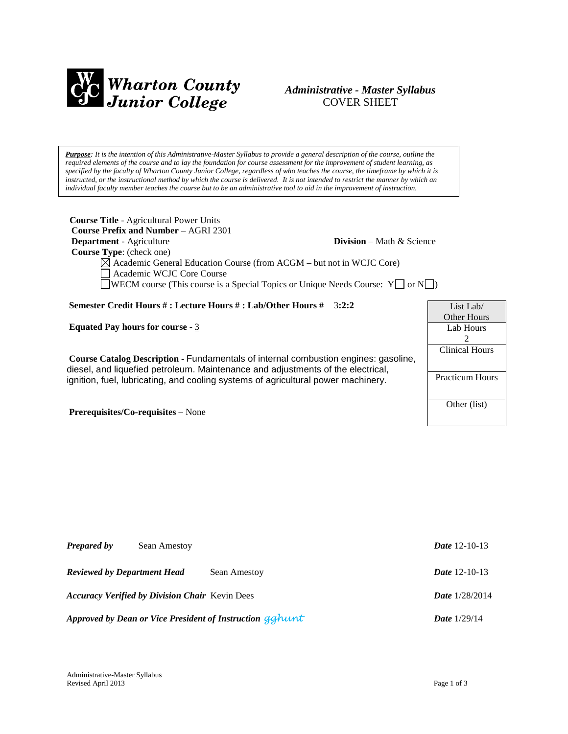

# *Administrative - Master Syllabus*  COVER SHEET

*Purpose: It is the intention of this Administrative-Master Syllabus to provide a general description of the course, outline the required elements of the course and to lay the foundation for course assessment for the improvement of student learning, as specified by the faculty of Wharton County Junior College, regardless of who teaches the course, the timeframe by which it is instructed, or the instructional method by which the course is delivered. It is not intended to restrict the manner by which an individual faculty member teaches the course but to be an administrative tool to aid in the improvement of instruction.*

| <b>Course Title - Agricultural Power Units</b>                                                                                                                         |                                     |                        |
|------------------------------------------------------------------------------------------------------------------------------------------------------------------------|-------------------------------------|------------------------|
| <b>Course Prefix and Number – AGRI 2301</b>                                                                                                                            |                                     |                        |
| <b>Department</b> - Agriculture                                                                                                                                        | <b>Division</b> – Math $\&$ Science |                        |
| <b>Course Type:</b> (check one)                                                                                                                                        |                                     |                        |
| $\boxtimes$ Academic General Education Course (from ACGM – but not in WCJC Core)<br>Academic WCJC Core Course                                                          |                                     |                        |
| <b>SOMEON</b> course (This course is a Special Topics or Unique Needs Course: $Y \cap Y$                                                                               |                                     |                        |
| Semester Credit Hours #: Lecture Hours #: Lab/Other Hours #                                                                                                            | 3:2:2                               | List Lab/              |
|                                                                                                                                                                        |                                     | <b>Other Hours</b>     |
| Equated Pay hours for course - $3$                                                                                                                                     |                                     | Lab Hours              |
|                                                                                                                                                                        |                                     | 2                      |
|                                                                                                                                                                        |                                     | Clinical Hours         |
| Course Catalog Description - Fundamentals of internal combustion engines: gasoline,<br>diesel, and liquefied petroleum. Maintenance and adjustments of the electrical, |                                     |                        |
| ignition, fuel, lubricating, and cooling systems of agricultural power machinery.                                                                                      |                                     | <b>Practicum Hours</b> |
|                                                                                                                                                                        |                                     |                        |
|                                                                                                                                                                        |                                     | Other (list)           |

**Prerequisites/Co-requisites** – None

| <b>Prepared by</b>                 | Sean Amestoy                                          |                                                          | <i>Date</i> 12-10-13  |
|------------------------------------|-------------------------------------------------------|----------------------------------------------------------|-----------------------|
| <b>Reviewed by Department Head</b> |                                                       | Sean Amestoy                                             | <i>Date</i> 12-10-13  |
|                                    | <b>Accuracy Verified by Division Chair</b> Kevin Dees |                                                          | <b>Date</b> 1/28/2014 |
|                                    |                                                       | Approved by Dean or Vice President of Instruction galunt | <b>Date</b> $1/29/14$ |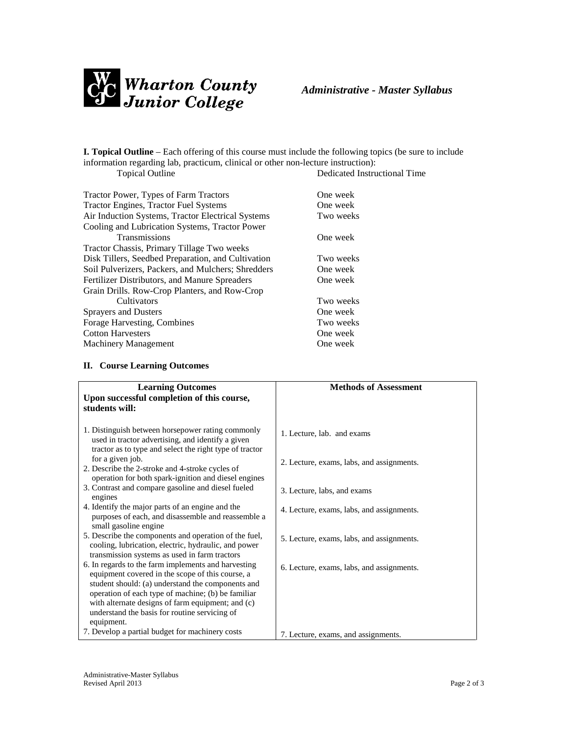

**I. Topical Outline** – Each offering of this course must include the following topics (be sure to include information regarding lab, practicum, clinical or other non-lecture instruction): Dedicated Instructional Time

| Tractor Power, Types of Farm Tractors              | One week  |
|----------------------------------------------------|-----------|
| <b>Tractor Engines, Tractor Fuel Systems</b>       | One week  |
| Air Induction Systems, Tractor Electrical Systems  | Two weeks |
| Cooling and Lubrication Systems, Tractor Power     |           |
| <b>Transmissions</b>                               | One week  |
| Tractor Chassis, Primary Tillage Two weeks         |           |
| Disk Tillers, Seedbed Preparation, and Cultivation | Two weeks |
| Soil Pulverizers, Packers, and Mulchers; Shredders | One week  |
| Fertilizer Distributors, and Manure Spreaders      | One week  |
| Grain Drills. Row-Crop Planters, and Row-Crop      |           |
| <b>Cultivators</b>                                 | Two weeks |
| <b>Sprayers and Dusters</b>                        | One week  |
| Forage Harvesting, Combines                        | Two weeks |
| <b>Cotton Harvesters</b>                           | One week  |
| <b>Machinery Management</b>                        | One week  |
|                                                    |           |

## **II. Course Learning Outcomes**

| <b>Learning Outcomes</b>                                                                                                                                                                                                                                            | <b>Methods of Assessment</b>              |
|---------------------------------------------------------------------------------------------------------------------------------------------------------------------------------------------------------------------------------------------------------------------|-------------------------------------------|
| Upon successful completion of this course,<br>students will:                                                                                                                                                                                                        |                                           |
| 1. Distinguish between horsepower rating commonly<br>used in tractor advertising, and identify a given<br>tractor as to type and select the right type of tractor                                                                                                   | 1. Lecture, lab. and exams                |
| for a given job.<br>2. Describe the 2-stroke and 4-stroke cycles of                                                                                                                                                                                                 | 2. Lecture, exams, labs, and assignments. |
| operation for both spark-ignition and diesel engines                                                                                                                                                                                                                |                                           |
| 3. Contrast and compare gasoline and diesel fueled<br>engines                                                                                                                                                                                                       | 3. Lecture, labs, and exams               |
| 4. Identify the major parts of an engine and the<br>purposes of each, and disassemble and reassemble a<br>small gasoline engine                                                                                                                                     | 4. Lecture, exams, labs, and assignments. |
| 5. Describe the components and operation of the fuel,<br>cooling, lubrication, electric, hydraulic, and power                                                                                                                                                       | 5. Lecture, exams, labs, and assignments. |
| transmission systems as used in farm tractors<br>6. In regards to the farm implements and harvesting<br>equipment covered in the scope of this course, a<br>student should: (a) understand the components and<br>operation of each type of machine; (b) be familiar | 6. Lecture, exams, labs, and assignments. |
| with alternate designs of farm equipment; and (c)<br>understand the basis for routine servicing of                                                                                                                                                                  |                                           |
| equipment.<br>7. Develop a partial budget for machinery costs                                                                                                                                                                                                       | 7. Lecture, exams, and assignments.       |